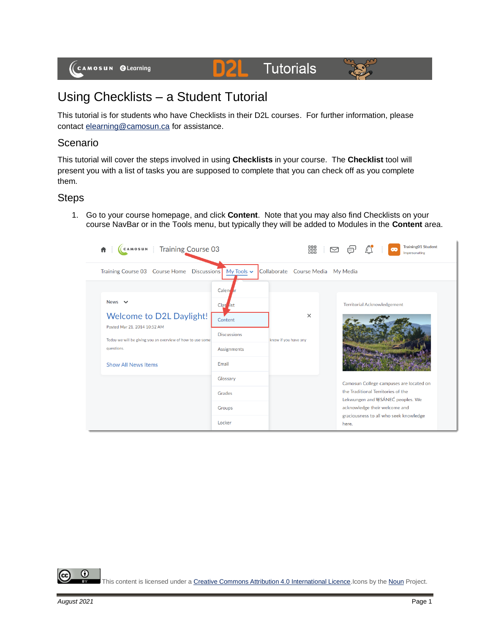

## **Tutorials**



## Using Checklists – a Student Tutorial

This tutorial is for students who have Checklists in their D2L courses. For further information, please contact [elearning@camosun.ca](mailto:elearning@camosun.ca) for assistance.

D

## Scenario

This tutorial will cover the steps involved in using **Checklists** in your course. The **Checklist** tool will present you with a list of tasks you are supposed to complete that you can check off as you complete them.

## **Steps**

1. Go to your course homepage, and click **Content**. Note that you may also find Checklists on your course NavBar or in the Tools menu, but typically they will be added to Modules in the **Content** area.



⋒ This content is licensed under a [Creative Commons Attribution 4.0 International Licence.I](https://creativecommons.org/licenses/by/4.0/)cons by the [Noun](https://creativecommons.org/website-icons/) Project.